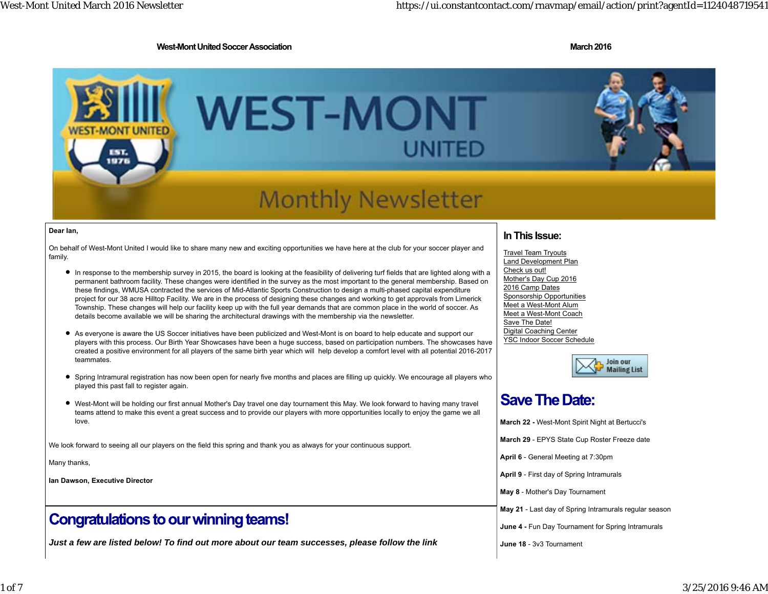1 of 7

#### **West-Mont United Soccer Association March 2016** New York 2016

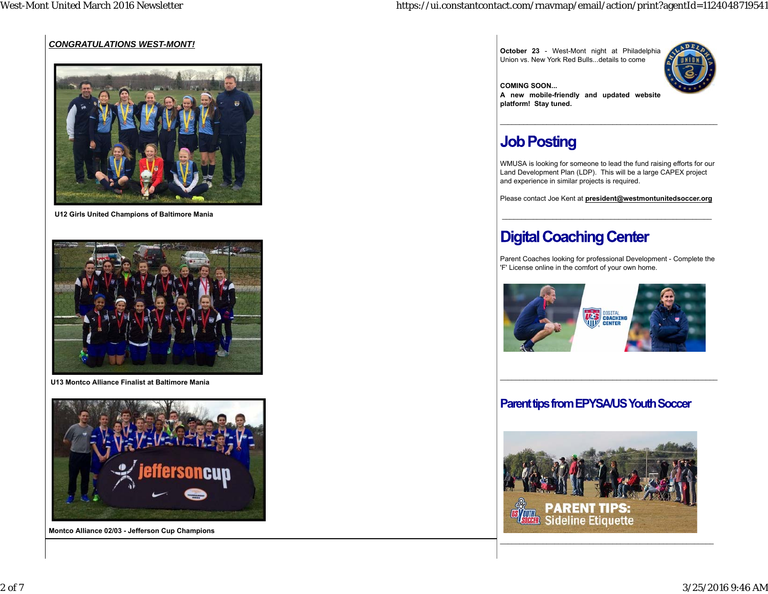### *CONGRATULATIONS WEST-MONT!*



 **U12 Girls United Champions of Baltimore Mania**



 **U13 Montco Alliance Finalist at Baltimore Mania**



**Montco Alliance 02/03 - Jefferson Cup Champions**

**October 23** - West-Mont night at Philadelphia Union vs. New York Red Bulls...details to come



**COMING SOON... A new mobile-friendly and updated website platform! Stay tuned.**

# **Job Posting**

WMUSA is looking for someone to lead the fund raising efforts for our Land Development Plan (LDP). This will be a large CAPEX project and experience in similar projects is required.

Please contact Joe Kent at **president@westmontunitedsoccer.org**

# **Digital Coaching Center**

Parent Coaches looking for professional Development - Complete the 'F' License online in the comfort of your own home.



### **Parent tips from EPYSA/US Youth Soccer**



\_\_\_\_\_\_\_\_\_\_\_\_\_\_\_\_\_\_\_\_\_\_\_\_\_\_\_\_\_\_\_\_\_\_\_\_\_\_\_\_\_\_\_\_\_\_\_\_\_\_\_\_\_\_\_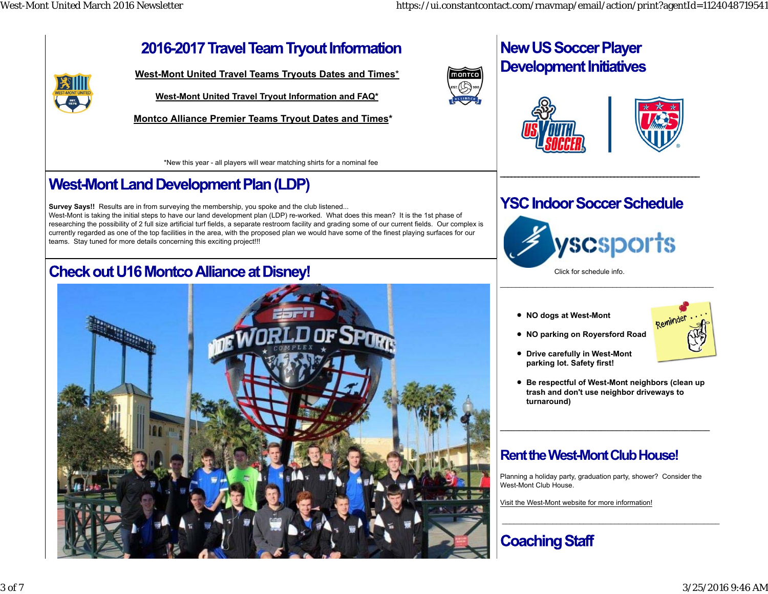閉

# 2016-2017 Travel Team Tryout Information

**West-Mont United Travel Teams Tryouts Dates and Times**\*

**West-Mont United Travel Tryout Information and FAQ\***

**Montco Alliance Premier Teams Tryout Dates and Times\*** 

\*New this year - all players will wear matching shirts for a nominal fee

# **West-Mont Land Development Plan (LDP)**

**Survey Says!!** Results are in from surveying the membership, you spoke and the club listened... West-Mont is taking the initial steps to have our land development plan (LDP) re-worked. What does this mean? It is the 1st phase of researching the possibility of 2 full size artificial turf fields, a separate restroom facility and grading some of our current fields. Our complex is currently regarded as one of the top facilities in the area, with the proposed plan we would have some of the finest playing surfaces for our teams. Stay tuned for more details concerning this exciting project!!!

# **Check out U16 Montco Alliance at Disney!**





# **New US Soccer Player Development Initiatives**





# **YSC Indoor Soccer Schedule**

**\_\_\_\_\_\_\_\_\_\_\_\_\_\_\_\_\_\_\_\_\_\_\_\_\_\_\_\_\_\_\_\_\_\_\_\_\_\_\_\_\_\_\_\_\_\_\_\_\_\_\_\_\_\_\_\_**



Click for schedule info.

**NO dogs at West-Mont** 



**Drive carefully in West-Mont parking lot. Safety first!**

**NO parking on Royersford Road**

**Be respectful of West-Mont neighbors (clean up trash and don't use neighbor driveways to turnaround)**

## **Rent the West-Mont Club House!**

Planning a holiday party, graduation party, shower? Consider the West-Mont Club House.

\_\_\_\_\_\_\_\_\_\_\_\_\_\_\_\_\_\_\_\_\_\_\_\_\_\_\_\_\_\_\_\_\_\_\_\_\_\_\_\_\_\_\_\_\_\_\_\_\_\_\_\_\_\_\_\_

Visit the West-Mont website for more information!

# **Coaching Staff**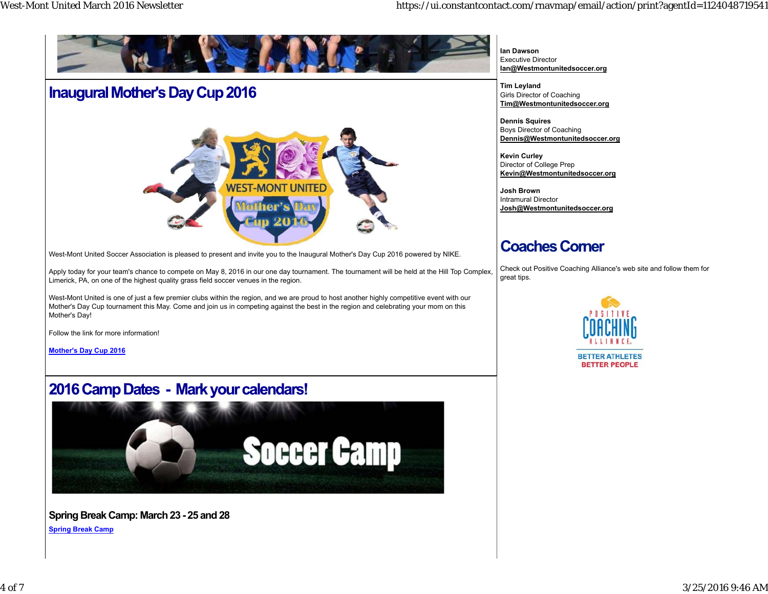

West-Mont United Soccer Association is pleased to present and invite you to the Inaugural Mother's Day Cup 2016 powered by NIKE.

Apply today for your team's chance to compete on May 8, 2016 in our one day tournament. The tournament will be held at the Hill Top Complex, Limerick, PA, on one of the highest quality grass field soccer venues in the region.

West-Mont United is one of just a few premier clubs within the region, and we are proud to host another highly competitive event with our Mother's Day Cup tournament this May. Come and join us in competing against the best in the region and celebrating your mom on this Mother's Day!

Follow the link for more information!

**Mother's Day Cup 2016**

## 2016 Camp Dates - Mark your calendars!



**Spring Break Camp: March 23 - 25 and 28 Spring Break Camp**

**Ian Dawson**Executive Director**Ian@Westmontunitedsoccer.org**

**Tim Leyland** Girls Director of Coaching **Tim@Westmontunitedsoccer.org**

**Dennis Squires** Boys Director of Coaching **Dennis@Westmontunitedsoccer.org**

**Kevin Curley** Director of College Prep **Kevin@Westmontunitedsoccer.org**

**Josh Brown**Intramural Director**Josh@Westmontunitedsoccer.org**

### **Coaches Comer**

Check out Positive Coaching Alliance's web site and follow them for great tips.



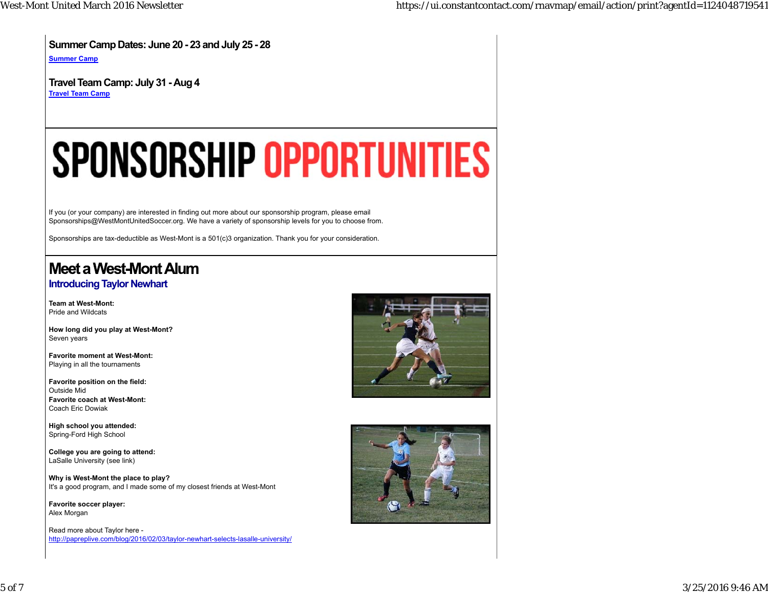**Summer Camp Dates: June 20 - 23 and July 25 - 28**

**Summer Camp**

**Travel Team Camp: July 31 - Aug 4 Travel Team Camp**

# **SPONSORSHIP OPPORTUNITIES**

If you (or your company) are interested in finding out more about our sponsorship program, please email Sponsorships@WestMontUnitedSoccer.org. We have a variety of sponsorship levels for you to choose from.

Sponsorships are tax-deductible as West-Mont is a 501(c)3 organization. Thank you for your consideration.

# **Meet a West-Mont Alum**

### **Introducing Taylor Newhart**

**Team at West-Mont:**Pride and Wildcats

**How long did you play at West-Mont?** Seven years

**Favorite moment at West-Mont:** Playing in all the tournaments

**Favorite position on the field:** Outside Mid**Favorite coach at West-Mont:**Coach Eric Dowiak

**High school you attended:** Spring-Ford High School

**College you are going to attend:** LaSalle University (see link)

**Why is West-Mont the place to play?** It's a good program, and I made some of my closest friends at West-Mont

**Favorite soccer player:** Alex Morgan

Read more about Taylor here http://papreplive.com/blog/2016/02/03/taylor-newhart-selects-lasalle-university/



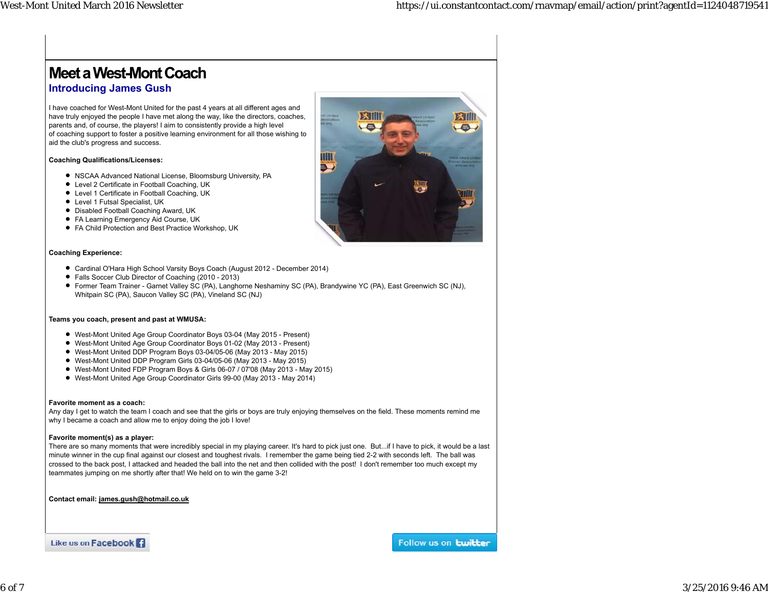# **Meet a West-Mont Coach Introducing James Gush**

I have coached for West-Mont United for the past 4 years at all different ages and have truly enjoyed the people I have met along the way, like the directors, coaches, parents and, of course, the players! I aim to consistently provide a high level of coaching support to foster a positive learning environment for all those wishing to aid the club's progress and success.

#### **Coaching Qualifications/Licenses:**

- NSCAA Advanced National License, Bloomsburg University, PA
- Level 2 Certificate in Football Coaching, UK
- Level 1 Certificate in Football Coaching, UK
- Level 1 Futsal Specialist, UK
- Disabled Football Coaching Award, UK
- FA Learning Emergency Aid Course, UK
- FA Child Protection and Best Practice Workshop, UK

### **Coaching Experience:**

- Cardinal O'Hara High School Varsity Boys Coach (August 2012 December 2014)
- Falls Soccer Club Director of Coaching (2010 2013)
- Former Team Trainer Garnet Valley SC (PA), Langhorne Neshaminy SC (PA), Brandywine YC (PA), East Greenwich SC (NJ), Whitpain SC (PA), Saucon Valley SC (PA), Vineland SC (NJ)

### **Teams you coach, present and past at WMUSA:**

- West-Mont United Age Group Coordinator Boys 03-04 (May 2015 Present)
- West-Mont United Age Group Coordinator Boys 01-02 (May 2013 Present)
- West-Mont United DDP Program Boys 03-04/05-06 (May 2013 May 2015)
- West-Mont United DDP Program Girls 03-04/05-06 (May 2013 May 2015)
- West-Mont United FDP Program Boys & Girls 06-07 / 07'08 (May 2013 May 2015)
- West-Mont United Age Group Coordinator Girls 99-00 (May 2013 May 2014)

### **Favorite moment as a coach:**

Any day I get to watch the team I coach and see that the girls or boys are truly enjoying themselves on the field. These moments remind me why I became a coach and allow me to enjoy doing the job I love!

#### **Favorite moment(s) as a player:**

There are so many moments that were incredibly special in my playing career. It's hard to pick just one. But...if I have to pick, it would be a last minute winner in the cup final against our closest and toughest rivals. I remember the game being tied 2-2 with seconds left. The ball was crossed to the back post, I attacked and headed the ball into the net and then collided with the post! I don't remember too much except my teammates jumping on me shortly after that! We held on to win the game 3-2!

**Contact email: james.gush@hotmail.co.uk**

Like us on Facebook